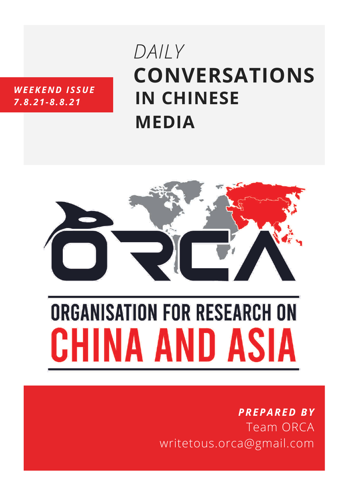#### *WEEKEND ISSUE 7.8.21-8.8.21*

# **CONVERSATIONS IN CHINESE MEDIA** *DAILY*



# **ORGANISATION FOR RESEARCH ON** CHINA AND ASIA

# *PREPARED BY* Team ORCA writetous.orca@gmail.com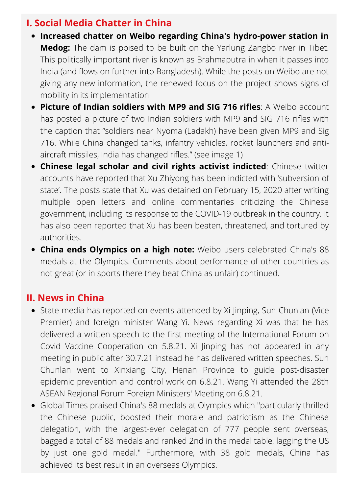### **I. Social Media Chatter in China**

- **Increased chatter on Weibo regarding China's hydro-power station in Medog:** The dam is poised to be built on the Yarlung Zangbo river in Tibet. This politically important river is known as Brahmaputra in when it passes into India (and flows on further into Bangladesh). While the posts on Weibo are not giving any new information, the renewed focus on the project shows signs of mobility in its implementation.
- **Picture of Indian soldiers with MP9 and SIG 716 rifles**: A Weibo account has posted a picture of two Indian soldiers with MP9 and SIG 716 rifles with the caption that "soldiers near Nyoma (Ladakh) have been given MP9 and Sig 716. While China changed tanks, infantry vehicles, rocket launchers and antiaircraft missiles, India has changed rifles." (see image 1)
- **Chinese legal scholar and civil rights activist indicted**: Chinese twitter accounts have reported that Xu Zhiyong has been indicted with 'subversion of state'. The posts state that Xu was detained on February 15, 2020 after writing multiple open letters and online commentaries criticizing the Chinese government, including its response to the COVID-19 outbreak in the country. It has also been reported that Xu has been beaten, threatened, and tortured by authorities.
- **China ends Olympics on a high note:** Weibo users celebrated China's 88 medals at the Olympics. Comments about performance of other countries as not great (or in sports there they beat China as unfair) continued.

## **II. News in China**

- State media has reported on events attended by Xi Jinping, Sun Chunlan (Vice Premier) and foreign minister Wang Yi. News regarding Xi was that he has delivered a written speech to the first meeting of the International Forum on Covid Vaccine Cooperation on 5.8.21. Xi Jinping has not appeared in any meeting in public after 30.7.21 instead he has delivered written speeches. Sun Chunlan went to Xinxiang City, Henan Province to guide post-disaster epidemic prevention and control work on 6.8.21. Wang Yi attended the 28th ASEAN Regional Forum Foreign Ministers' Meeting on 6.8.21.
- Global Times praised China's 88 medals at Olympics which "particularly thrilled the Chinese public, boosted their morale and patriotism as the Chinese delegation, with the largest-ever delegation of 777 people sent overseas, bagged a total of 88 medals and ranked 2nd in the medal table, lagging the US by just one gold medal." Furthermore, with 38 gold medals, China has achieved its best result in an overseas Olympics.